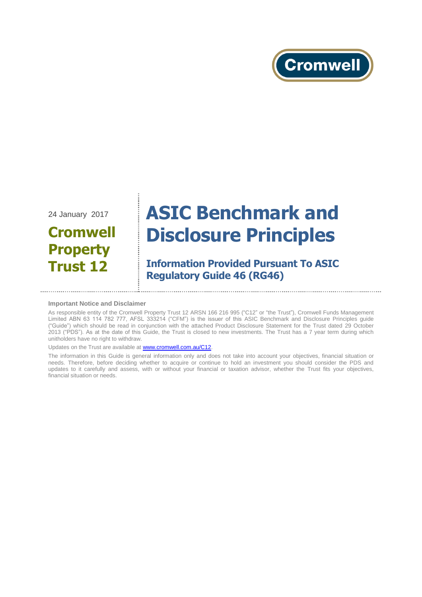

24 January 2017

## **Cromwell Property Trust 12**

# **ASIC Benchmark and Disclosure Principles**

## **Information Provided Pursuant To ASIC Regulatory Guide 46 (RG46)**

#### **Important Notice and Disclaimer**

As responsible entity of the Cromwell Property Trust 12 ARSN 166 216 995 ("C12" or "the Trust"), Cromwell Funds Management Limited ABN 63 114 782 777, AFSL 333214 ("CFM") is the issuer of this ASIC Benchmark and Disclosure Principles guide ("Guide") which should be read in conjunction with the attached Product Disclosure Statement for the Trust dated 29 October 2013 ("PDS"). As at the date of this Guide, the Trust is closed to new investments. The Trust has a 7 year term during which unitholders have no right to withdraw.

Updates on the Trust are available a[t www.cromwell.com.au/C12.](http://www.cromwell.com.au/C12)

The information in this Guide is general information only and does not take into account your objectives, financial situation or needs. Therefore, before deciding whether to acquire or continue to hold an investment you should consider the PDS and updates to it carefully and assess, with or without your financial or taxation advisor, whether the Trust fits your objectives, financial situation or needs.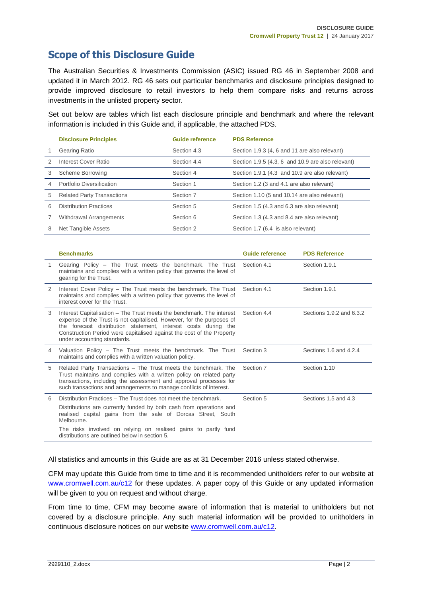## **Scope of this Disclosure Guide**

The Australian Securities & Investments Commission (ASIC) issued RG 46 in September 2008 and updated it in March 2012. RG 46 sets out particular benchmarks and disclosure principles designed to provide improved disclosure to retail investors to help them compare risks and returns across investments in the unlisted property sector.

Set out below are tables which list each disclosure principle and benchmark and where the relevant information is included in this Guide and, if applicable, the attached PDS.

|   | <b>Disclosure Principles</b>      | <b>Guide reference</b> | <b>PDS Reference</b>                              |
|---|-----------------------------------|------------------------|---------------------------------------------------|
|   | Gearing Ratio                     | Section 4.3            | Section 1.9.3 (4, 6 and 11 are also relevant)     |
|   | Interest Cover Ratio              | Section 4.4            | Section 1.9.5 (4.3, 6 and 10.9 are also relevant) |
| 3 | <b>Scheme Borrowing</b>           | Section 4              | Section 1.9.1 (4.3 and 10.9 are also relevant)    |
|   | Portfolio Diversification         | Section 1              | Section 1.2 (3 and 4.1 are also relevant)         |
| 5 | <b>Related Party Transactions</b> | Section 7              | Section 1.10 (5 and 10.14 are also relevant)      |
| 6 | <b>Distribution Practices</b>     | Section 5              | Section 1.5 (4.3 and 6.3 are also relevant)       |
|   | Withdrawal Arrangements           | Section 6              | Section 1.3 (4.3 and 8.4 are also relevant)       |
| 8 | Net Tangible Assets               | Section 2              | Section 1.7 (6.4 is also relevant)                |

|   | <b>Benchmarks</b>                                                                                                                                                                                                                                                                                                                        | <b>Guide reference</b> | <b>PDS Reference</b>     |
|---|------------------------------------------------------------------------------------------------------------------------------------------------------------------------------------------------------------------------------------------------------------------------------------------------------------------------------------------|------------------------|--------------------------|
| 1 | Gearing Policy – The Trust meets the benchmark. The Trust<br>maintains and complies with a written policy that governs the level of<br>gearing for the Trust.                                                                                                                                                                            | Section 4.1            | Section 1.9.1            |
| 2 | Interest Cover Policy – The Trust meets the benchmark. The Trust<br>maintains and complies with a written policy that governs the level of<br>interest cover for the Trust.                                                                                                                                                              | Section 4.1            | Section 1.9.1            |
| 3 | Interest Capitalisation – The Trust meets the benchmark. The interest<br>expense of the Trust is not capitalised. However, for the purposes of<br>the forecast distribution statement, interest costs during the<br>Construction Period were capitalised against the cost of the Property<br>under accounting standards.                 | Section 4.4            | Sections 1.9.2 and 6.3.2 |
| 4 | Valuation Policy – The Trust meets the benchmark. The Trust<br>maintains and complies with a written valuation policy.                                                                                                                                                                                                                   | Section 3              | Sections 1.6 and 4.2.4   |
| 5 | Related Party Transactions – The Trust meets the benchmark. The<br>Trust maintains and complies with a written policy on related party<br>transactions, including the assessment and approval processes for<br>such transactions and arrangements to manage conflicts of interest.                                                       | Section 7              | Section 1.10             |
| 6 | Distribution Practices – The Trust does not meet the benchmark.<br>Distributions are currently funded by both cash from operations and<br>realised capital gains from the sale of Dorcas Street, South<br>Melbourne.<br>The risks involved on relying on realised gains to partly fund<br>distributions are outlined below in section 5. | Section 5              | Sections 1.5 and 4.3     |

All statistics and amounts in this Guide are as at 31 December 2016 unless stated otherwise.

CFM may update this Guide from time to time and it is recommended unitholders refer to our website at [www.cromwell.com.au/c12](http://www.cromwell.com.au/c12) for these updates. A paper copy of this Guide or any updated information will be given to you on request and without charge.

From time to time, CFM may become aware of information that is material to unitholders but not covered by a disclosure principle. Any such material information will be provided to unitholders in continuous disclosure notices on our website [www.cromwell.com.au/c12.](http://www.cromwell.com.au/c12)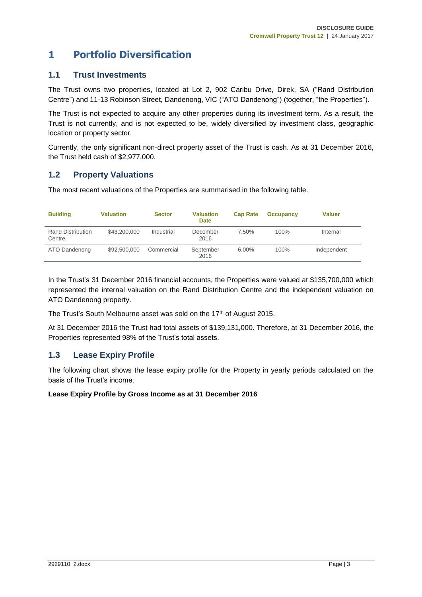## **1 Portfolio Diversification**

#### **1.1 Trust Investments**

The Trust owns two properties, located at Lot 2, 902 Caribu Drive, Direk, SA ("Rand Distribution Centre") and 11-13 Robinson Street, Dandenong, VIC ("ATO Dandenong") (together, "the Properties").

The Trust is not expected to acquire any other properties during its investment term. As a result, the Trust is not currently, and is not expected to be, widely diversified by investment class, geographic location or property sector.

Currently, the only significant non-direct property asset of the Trust is cash. As at 31 December 2016, the Trust held cash of \$2,977,000.

#### **1.2 Property Valuations**

The most recent valuations of the Properties are summarised in the following table.

| <b>Building</b>                    | <b>Valuation</b> | <b>Sector</b> | <b>Valuation</b><br><b>Date</b> | <b>Cap Rate</b> | <b>Occupancy</b> | Valuer      |
|------------------------------------|------------------|---------------|---------------------------------|-----------------|------------------|-------------|
| <b>Rand Distribution</b><br>Centre | \$43,200,000     | Industrial    | December<br>2016                | 7.50%           | 100%             | Internal    |
| ATO Dandenong                      | \$92,500,000     | Commercial    | September<br>2016               | $6.00\%$        | $100\%$          | Independent |

In the Trust's 31 December 2016 financial accounts, the Properties were valued at \$135,700,000 which represented the internal valuation on the Rand Distribution Centre and the independent valuation on ATO Dandenong property.

The Trust's South Melbourne asset was sold on the 17th of August 2015.

At 31 December 2016 the Trust had total assets of \$139,131,000. Therefore, at 31 December 2016, the Properties represented 98% of the Trust's total assets.

#### **1.3 Lease Expiry Profile**

The following chart shows the lease expiry profile for the Property in yearly periods calculated on the basis of the Trust's income.

#### **Lease Expiry Profile by Gross Income as at 31 December 2016**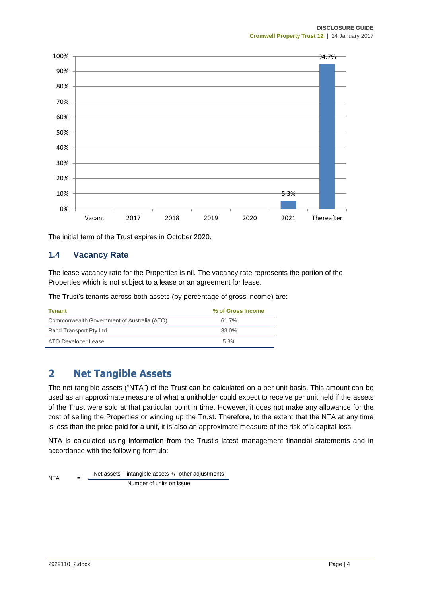

The initial term of the Trust expires in October 2020.

#### **1.4 Vacancy Rate**

The lease vacancy rate for the Properties is nil. The vacancy rate represents the portion of the Properties which is not subject to a lease or an agreement for lease.

The Trust's tenants across both assets (by percentage of gross income) are:

| Tenant                                     | % of Gross Income |
|--------------------------------------------|-------------------|
| Commonwealth Government of Australia (ATO) | 61.7%             |
| Rand Transport Pty Ltd                     | 33.0%             |
| ATO Developer Lease                        | 5.3%              |

## **2 Net Tangible Assets**

The net tangible assets ("NTA") of the Trust can be calculated on a per unit basis. This amount can be used as an approximate measure of what a unitholder could expect to receive per unit held if the assets of the Trust were sold at that particular point in time. However, it does not make any allowance for the cost of selling the Properties or winding up the Trust. Therefore, to the extent that the NTA at any time is less than the price paid for a unit, it is also an approximate measure of the risk of a capital loss.

NTA is calculated using information from the Trust's latest management financial statements and in accordance with the following formula:

NTA Net assets – intangible assets +/- other adjustments Number of units on issue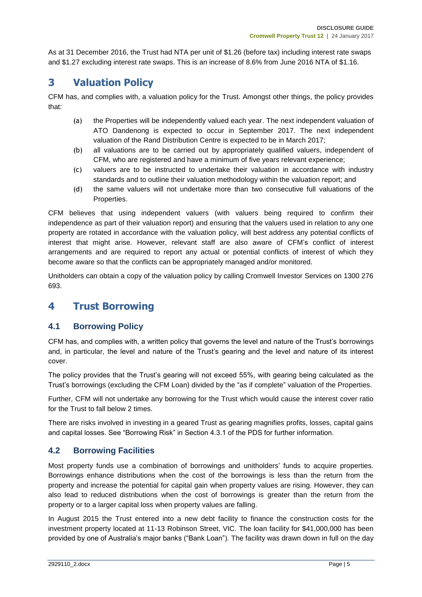As at 31 December 2016, the Trust had NTA per unit of \$1.26 (before tax) including interest rate swaps and \$1.27 excluding interest rate swaps. This is an increase of 8.6% from June 2016 NTA of \$1.16.

## **3 Valuation Policy**

CFM has, and complies with, a valuation policy for the Trust. Amongst other things, the policy provides that:

- (a) the Properties will be independently valued each year. The next independent valuation of ATO Dandenong is expected to occur in September 2017. The next independent valuation of the Rand Distribution Centre is expected to be in March 2017;
- (b) all valuations are to be carried out by appropriately qualified valuers, independent of CFM, who are registered and have a minimum of five years relevant experience;
- (c) valuers are to be instructed to undertake their valuation in accordance with industry standards and to outline their valuation methodology within the valuation report; and
- (d) the same valuers will not undertake more than two consecutive full valuations of the Properties.

CFM believes that using independent valuers (with valuers being required to confirm their independence as part of their valuation report) and ensuring that the valuers used in relation to any one property are rotated in accordance with the valuation policy, will best address any potential conflicts of interest that might arise. However, relevant staff are also aware of CFM's conflict of interest arrangements and are required to report any actual or potential conflicts of interest of which they become aware so that the conflicts can be appropriately managed and/or monitored.

Unitholders can obtain a copy of the valuation policy by calling Cromwell Investor Services on 1300 276 693.

## **4 Trust Borrowing**

## **4.1 Borrowing Policy**

CFM has, and complies with, a written policy that governs the level and nature of the Trust's borrowings and, in particular, the level and nature of the Trust's gearing and the level and nature of its interest cover.

The policy provides that the Trust's gearing will not exceed 55%, with gearing being calculated as the Trust's borrowings (excluding the CFM Loan) divided by the "as if complete" valuation of the Properties.

Further, CFM will not undertake any borrowing for the Trust which would cause the interest cover ratio for the Trust to fall below 2 times.

There are risks involved in investing in a geared Trust as gearing magnifies profits, losses, capital gains and capital losses. See "Borrowing Risk" in Section 4.3.1 of the PDS for further information.

## **4.2 Borrowing Facilities**

Most property funds use a combination of borrowings and unitholders' funds to acquire properties. Borrowings enhance distributions when the cost of the borrowings is less than the return from the property and increase the potential for capital gain when property values are rising. However, they can also lead to reduced distributions when the cost of borrowings is greater than the return from the property or to a larger capital loss when property values are falling.

In August 2015 the Trust entered into a new debt facility to finance the construction costs for the investment property located at 11-13 Robinson Street, VIC. The loan facility for \$41,000,000 has been provided by one of Australia's major banks ("Bank Loan"). The facility was drawn down in full on the day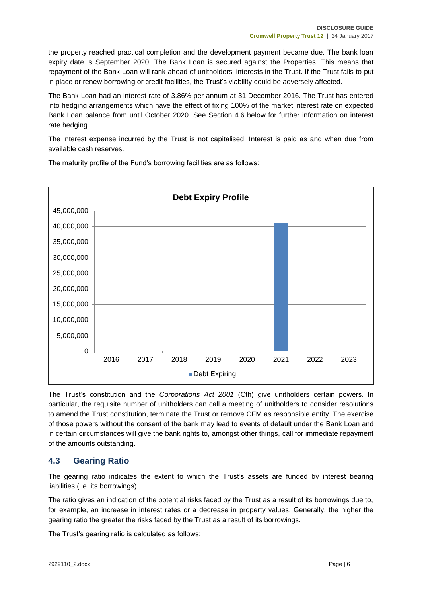the property reached practical completion and the development payment became due. The bank loan expiry date is September 2020. The Bank Loan is secured against the Properties. This means that repayment of the Bank Loan will rank ahead of unitholders' interests in the Trust. If the Trust fails to put in place or renew borrowing or credit facilities, the Trust's viability could be adversely affected.

The Bank Loan had an interest rate of 3.86% per annum at 31 December 2016. The Trust has entered into hedging arrangements which have the effect of fixing 100% of the market interest rate on expected Bank Loan balance from until October 2020. See Section 4.6 below for further information on interest rate hedging.

The interest expense incurred by the Trust is not capitalised. Interest is paid as and when due from available cash reserves.

 $\Omega$ 5,000,000 10,000,000 15,000,000 20,000,000 25,000,000 30,000,000 35,000,000 40,000,000 45,000,000 2016 2017 2018 2019 2020 2021 2022 2023 **Debt Expiry Profile**  Debt Expiring

The maturity profile of the Fund's borrowing facilities are as follows:

The Trust's constitution and the *Corporations Act 2001* (Cth) give unitholders certain powers. In particular, the requisite number of unitholders can call a meeting of unitholders to consider resolutions to amend the Trust constitution, terminate the Trust or remove CFM as responsible entity. The exercise of those powers without the consent of the bank may lead to events of default under the Bank Loan and in certain circumstances will give the bank rights to, amongst other things, call for immediate repayment of the amounts outstanding.

## **4.3 Gearing Ratio**

The gearing ratio indicates the extent to which the Trust's assets are funded by interest bearing liabilities (i.e. its borrowings).

The ratio gives an indication of the potential risks faced by the Trust as a result of its borrowings due to, for example, an increase in interest rates or a decrease in property values. Generally, the higher the gearing ratio the greater the risks faced by the Trust as a result of its borrowings.

The Trust's gearing ratio is calculated as follows: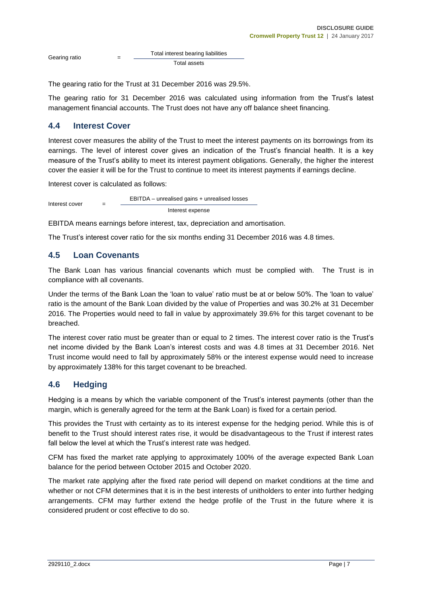Gearing ratio Total interest bearing liabilities Total assets

The gearing ratio for the Trust at 31 December 2016 was 29.5%.

The gearing ratio for 31 December 2016 was calculated using information from the Trust's latest management financial accounts. The Trust does not have any off balance sheet financing.

#### **4.4 Interest Cover**

Interest cover measures the ability of the Trust to meet the interest payments on its borrowings from its earnings. The level of interest cover gives an indication of the Trust's financial health. It is a key measure of the Trust's ability to meet its interest payment obligations. Generally, the higher the interest cover the easier it will be for the Trust to continue to meet its interest payments if earnings decline.

Interest cover is calculated as follows:

Interest cover = EBITDA – unrealised gains + unrealised losses Interest expense

EBITDA means earnings before interest, tax, depreciation and amortisation.

The Trust's interest cover ratio for the six months ending 31 December 2016 was 4.8 times.

#### **4.5 Loan Covenants**

The Bank Loan has various financial covenants which must be complied with. The Trust is in compliance with all covenants.

Under the terms of the Bank Loan the 'loan to value' ratio must be at or below 50%. The 'loan to value' ratio is the amount of the Bank Loan divided by the value of Properties and was 30.2% at 31 December 2016. The Properties would need to fall in value by approximately 39.6% for this target covenant to be breached.

The interest cover ratio must be greater than or equal to 2 times. The interest cover ratio is the Trust's net income divided by the Bank Loan's interest costs and was 4.8 times at 31 December 2016. Net Trust income would need to fall by approximately 58% or the interest expense would need to increase by approximately 138% for this target covenant to be breached.

#### **4.6 Hedging**

Hedging is a means by which the variable component of the Trust's interest payments (other than the margin, which is generally agreed for the term at the Bank Loan) is fixed for a certain period.

This provides the Trust with certainty as to its interest expense for the hedging period. While this is of benefit to the Trust should interest rates rise, it would be disadvantageous to the Trust if interest rates fall below the level at which the Trust's interest rate was hedged.

CFM has fixed the market rate applying to approximately 100% of the average expected Bank Loan balance for the period between October 2015 and October 2020.

The market rate applying after the fixed rate period will depend on market conditions at the time and whether or not CFM determines that it is in the best interests of unitholders to enter into further hedging arrangements. CFM may further extend the hedge profile of the Trust in the future where it is considered prudent or cost effective to do so.